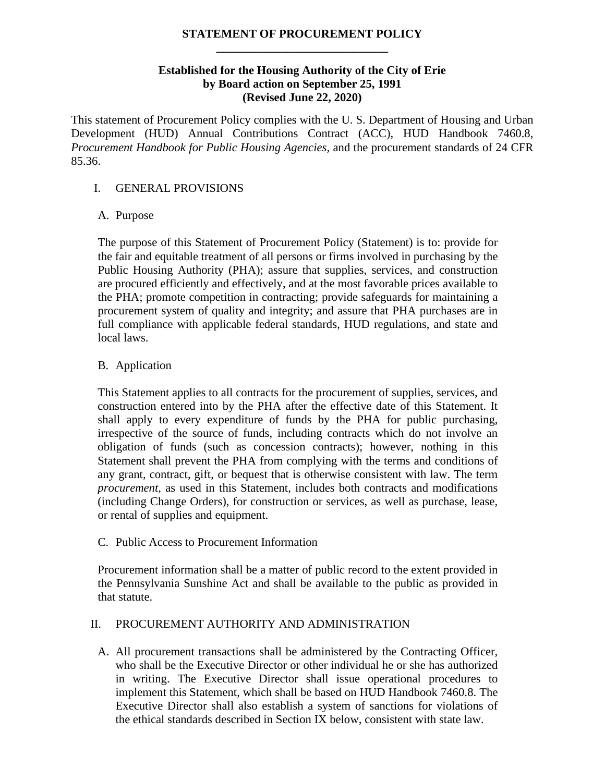# **STATEMENT OF PROCUREMENT POLICY \_\_\_\_\_\_\_\_\_\_\_\_\_\_\_\_\_\_\_\_\_\_\_\_\_\_\_\_\_**

# **Established for the Housing Authority of the City of Erie by Board action on September 25, 1991 (Revised June 22, 2020)**

This statement of Procurement Policy complies with the U. S. Department of Housing and Urban Development (HUD) Annual Contributions Contract (ACC), HUD Handbook 7460.8, *Procurement Handbook for Public Housing Agencies*, and the procurement standards of 24 CFR 85.36.

# I. GENERAL PROVISIONS

# A. Purpose

The purpose of this Statement of Procurement Policy (Statement) is to: provide for the fair and equitable treatment of all persons or firms involved in purchasing by the Public Housing Authority (PHA); assure that supplies, services, and construction are procured efficiently and effectively, and at the most favorable prices available to the PHA; promote competition in contracting; provide safeguards for maintaining a procurement system of quality and integrity; and assure that PHA purchases are in full compliance with applicable federal standards, HUD regulations, and state and local laws.

# B. Application

This Statement applies to all contracts for the procurement of supplies, services, and construction entered into by the PHA after the effective date of this Statement. It shall apply to every expenditure of funds by the PHA for public purchasing, irrespective of the source of funds, including contracts which do not involve an obligation of funds (such as concession contracts); however, nothing in this Statement shall prevent the PHA from complying with the terms and conditions of any grant, contract, gift, or bequest that is otherwise consistent with law. The term *procurement*, as used in this Statement, includes both contracts and modifications (including Change Orders), for construction or services, as well as purchase, lease, or rental of supplies and equipment.

# C. Public Access to Procurement Information

Procurement information shall be a matter of public record to the extent provided in the Pennsylvania Sunshine Act and shall be available to the public as provided in that statute.

# II. PROCUREMENT AUTHORITY AND ADMINISTRATION

A. All procurement transactions shall be administered by the Contracting Officer, who shall be the Executive Director or other individual he or she has authorized in writing. The Executive Director shall issue operational procedures to implement this Statement, which shall be based on HUD Handbook 7460.8. The Executive Director shall also establish a system of sanctions for violations of the ethical standards described in Section IX below, consistent with state law.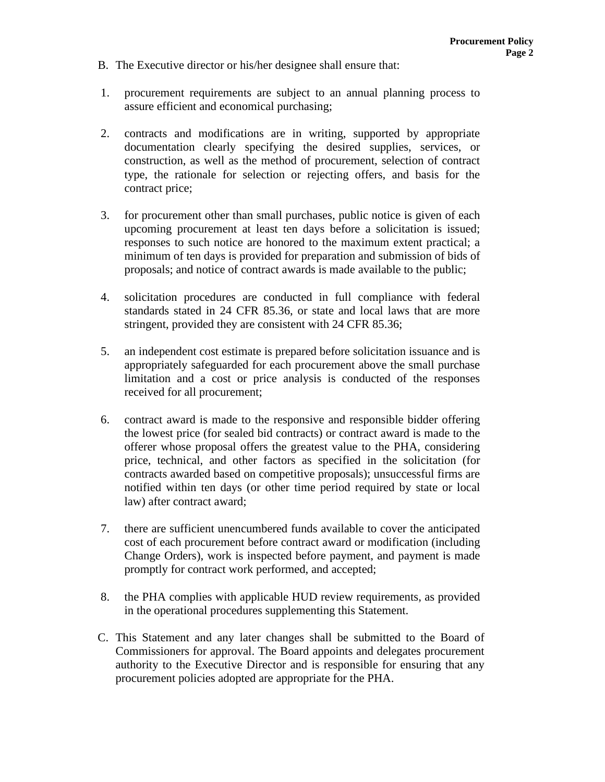- B. The Executive director or his/her designee shall ensure that:
- 1. procurement requirements are subject to an annual planning process to assure efficient and economical purchasing;
- 2. contracts and modifications are in writing, supported by appropriate documentation clearly specifying the desired supplies, services, or construction, as well as the method of procurement, selection of contract type, the rationale for selection or rejecting offers, and basis for the contract price;
- 3. for procurement other than small purchases, public notice is given of each upcoming procurement at least ten days before a solicitation is issued; responses to such notice are honored to the maximum extent practical; a minimum of ten days is provided for preparation and submission of bids of proposals; and notice of contract awards is made available to the public;
- 4. solicitation procedures are conducted in full compliance with federal standards stated in 24 CFR 85.36, or state and local laws that are more stringent, provided they are consistent with 24 CFR 85.36;
- 5. an independent cost estimate is prepared before solicitation issuance and is appropriately safeguarded for each procurement above the small purchase limitation and a cost or price analysis is conducted of the responses received for all procurement;
- 6. contract award is made to the responsive and responsible bidder offering the lowest price (for sealed bid contracts) or contract award is made to the offerer whose proposal offers the greatest value to the PHA, considering price, technical, and other factors as specified in the solicitation (for contracts awarded based on competitive proposals); unsuccessful firms are notified within ten days (or other time period required by state or local law) after contract award;
- 7. there are sufficient unencumbered funds available to cover the anticipated cost of each procurement before contract award or modification (including Change Orders), work is inspected before payment, and payment is made promptly for contract work performed, and accepted;
- 8. the PHA complies with applicable HUD review requirements, as provided in the operational procedures supplementing this Statement.
- C. This Statement and any later changes shall be submitted to the Board of Commissioners for approval. The Board appoints and delegates procurement authority to the Executive Director and is responsible for ensuring that any procurement policies adopted are appropriate for the PHA.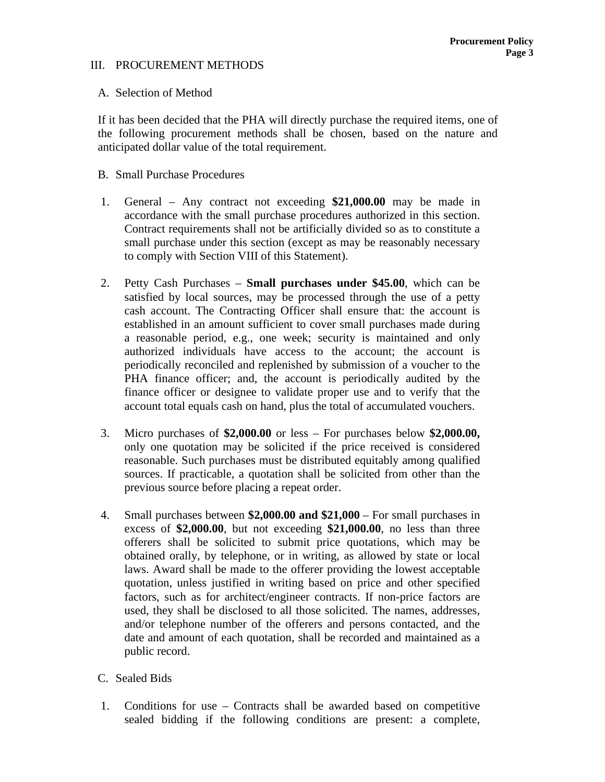### III. PROCUREMENT METHODS

### A. Selection of Method

If it has been decided that the PHA will directly purchase the required items, one of the following procurement methods shall be chosen, based on the nature and anticipated dollar value of the total requirement.

#### B. Small Purchase Procedures

- 1. General Any contract not exceeding **\$21,000.00** may be made in accordance with the small purchase procedures authorized in this section. Contract requirements shall not be artificially divided so as to constitute a small purchase under this section (except as may be reasonably necessary to comply with Section VIII of this Statement).
- 2. Petty Cash Purchases **Small purchases under \$45.00**, which can be satisfied by local sources, may be processed through the use of a petty cash account. The Contracting Officer shall ensure that: the account is established in an amount sufficient to cover small purchases made during a reasonable period, e.g., one week; security is maintained and only authorized individuals have access to the account; the account is periodically reconciled and replenished by submission of a voucher to the PHA finance officer; and, the account is periodically audited by the finance officer or designee to validate proper use and to verify that the account total equals cash on hand, plus the total of accumulated vouchers.
- 3. Micro purchases of **\$2,000.00** or less For purchases below **\$2,000.00,** only one quotation may be solicited if the price received is considered reasonable. Such purchases must be distributed equitably among qualified sources. If practicable, a quotation shall be solicited from other than the previous source before placing a repeat order.
- 4. Small purchases between **\$2,000.00 and \$21,000** For small purchases in excess of **\$2,000.00**, but not exceeding **\$21,000.00**, no less than three offerers shall be solicited to submit price quotations, which may be obtained orally, by telephone, or in writing, as allowed by state or local laws. Award shall be made to the offerer providing the lowest acceptable quotation, unless justified in writing based on price and other specified factors, such as for architect/engineer contracts. If non-price factors are used, they shall be disclosed to all those solicited. The names, addresses, and/or telephone number of the offerers and persons contacted, and the date and amount of each quotation, shall be recorded and maintained as a public record.
- C. Sealed Bids
- 1. Conditions for use Contracts shall be awarded based on competitive sealed bidding if the following conditions are present: a complete,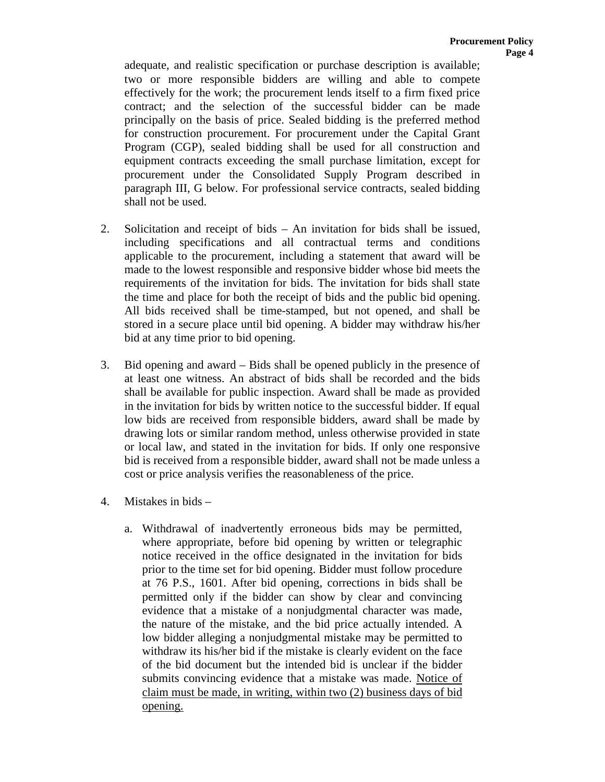adequate, and realistic specification or purchase description is available; two or more responsible bidders are willing and able to compete effectively for the work; the procurement lends itself to a firm fixed price contract; and the selection of the successful bidder can be made principally on the basis of price. Sealed bidding is the preferred method for construction procurement. For procurement under the Capital Grant Program (CGP), sealed bidding shall be used for all construction and equipment contracts exceeding the small purchase limitation, except for procurement under the Consolidated Supply Program described in paragraph III, G below. For professional service contracts, sealed bidding shall not be used.

- 2. Solicitation and receipt of bids An invitation for bids shall be issued, including specifications and all contractual terms and conditions applicable to the procurement, including a statement that award will be made to the lowest responsible and responsive bidder whose bid meets the requirements of the invitation for bids. The invitation for bids shall state the time and place for both the receipt of bids and the public bid opening. All bids received shall be time-stamped, but not opened, and shall be stored in a secure place until bid opening. A bidder may withdraw his/her bid at any time prior to bid opening.
- 3. Bid opening and award Bids shall be opened publicly in the presence of at least one witness. An abstract of bids shall be recorded and the bids shall be available for public inspection. Award shall be made as provided in the invitation for bids by written notice to the successful bidder. If equal low bids are received from responsible bidders, award shall be made by drawing lots or similar random method, unless otherwise provided in state or local law, and stated in the invitation for bids. If only one responsive bid is received from a responsible bidder, award shall not be made unless a cost or price analysis verifies the reasonableness of the price.
- 4. Mistakes in bids
	- a. Withdrawal of inadvertently erroneous bids may be permitted, where appropriate, before bid opening by written or telegraphic notice received in the office designated in the invitation for bids prior to the time set for bid opening. Bidder must follow procedure at 76 P.S., 1601. After bid opening, corrections in bids shall be permitted only if the bidder can show by clear and convincing evidence that a mistake of a nonjudgmental character was made, the nature of the mistake, and the bid price actually intended. A low bidder alleging a nonjudgmental mistake may be permitted to withdraw its his/her bid if the mistake is clearly evident on the face of the bid document but the intended bid is unclear if the bidder submits convincing evidence that a mistake was made. Notice of claim must be made, in writing, within two (2) business days of bid opening.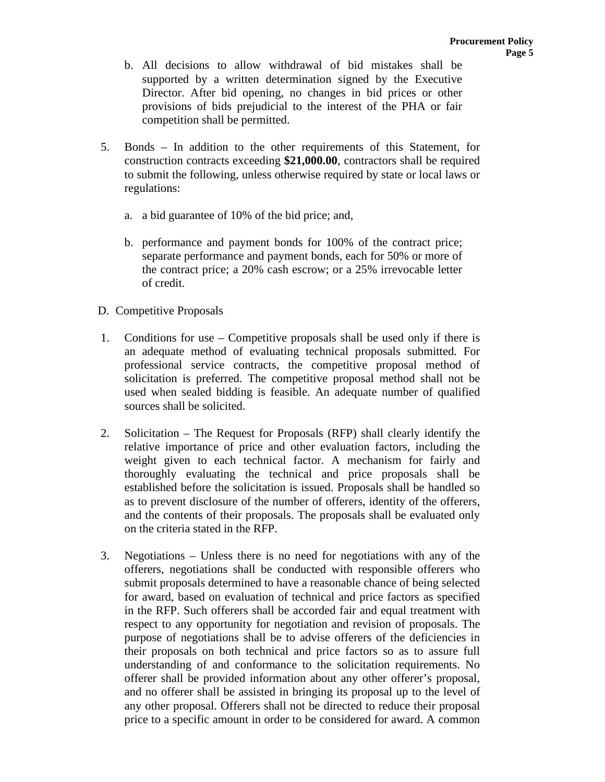- b. All decisions to allow withdrawal of bid mistakes shall be supported by a written determination signed by the Executive Director. After bid opening, no changes in bid prices or other provisions of bids prejudicial to the interest of the PHA or fair competition shall be permitted.
- 5. Bonds In addition to the other requirements of this Statement, for construction contracts exceeding **\$21,000.00**, contractors shall be required to submit the following, unless otherwise required by state or local laws or regulations:
	- a. a bid guarantee of 10% of the bid price; and,
	- b. performance and payment bonds for 100% of the contract price; separate performance and payment bonds, each for 50% or more of the contract price; a 20% cash escrow; or a 25% irrevocable letter of credit.
- D. Competitive Proposals
- 1. Conditions for use Competitive proposals shall be used only if there is an adequate method of evaluating technical proposals submitted. For professional service contracts, the competitive proposal method of solicitation is preferred. The competitive proposal method shall not be used when sealed bidding is feasible. An adequate number of qualified sources shall be solicited.
- 2. Solicitation The Request for Proposals (RFP) shall clearly identify the relative importance of price and other evaluation factors, including the weight given to each technical factor. A mechanism for fairly and thoroughly evaluating the technical and price proposals shall be established before the solicitation is issued. Proposals shall be handled so as to prevent disclosure of the number of offerers, identity of the offerers, and the contents of their proposals. The proposals shall be evaluated only on the criteria stated in the RFP.
- 3. Negotiations Unless there is no need for negotiations with any of the offerers, negotiations shall be conducted with responsible offerers who submit proposals determined to have a reasonable chance of being selected for award, based on evaluation of technical and price factors as specified in the RFP. Such offerers shall be accorded fair and equal treatment with respect to any opportunity for negotiation and revision of proposals. The purpose of negotiations shall be to advise offerers of the deficiencies in their proposals on both technical and price factors so as to assure full understanding of and conformance to the solicitation requirements. No offerer shall be provided information about any other offerer's proposal, and no offerer shall be assisted in bringing its proposal up to the level of any other proposal. Offerers shall not be directed to reduce their proposal price to a specific amount in order to be considered for award. A common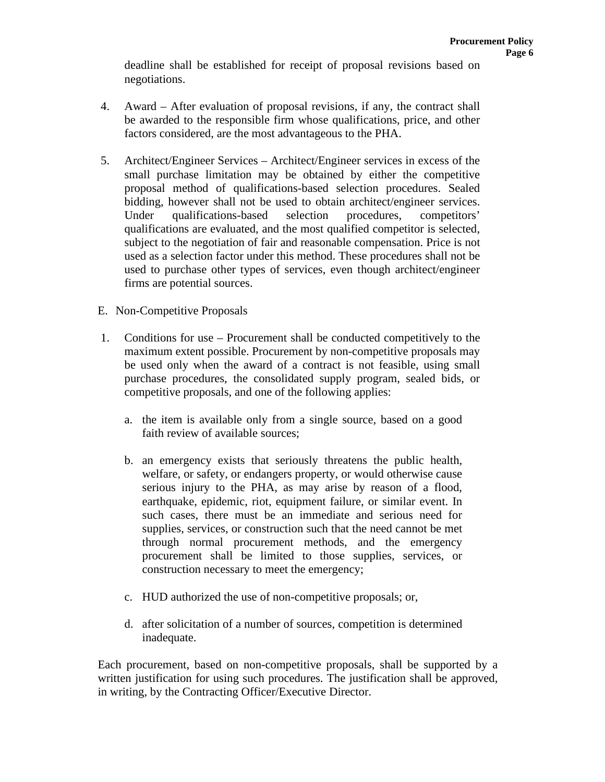deadline shall be established for receipt of proposal revisions based on negotiations.

- 4. Award After evaluation of proposal revisions, if any, the contract shall be awarded to the responsible firm whose qualifications, price, and other factors considered, are the most advantageous to the PHA.
- 5. Architect/Engineer Services Architect/Engineer services in excess of the small purchase limitation may be obtained by either the competitive proposal method of qualifications-based selection procedures. Sealed bidding, however shall not be used to obtain architect/engineer services. Under qualifications-based selection procedures, competitors' qualifications are evaluated, and the most qualified competitor is selected, subject to the negotiation of fair and reasonable compensation. Price is not used as a selection factor under this method. These procedures shall not be used to purchase other types of services, even though architect/engineer firms are potential sources.
- E. Non-Competitive Proposals
- 1. Conditions for use Procurement shall be conducted competitively to the maximum extent possible. Procurement by non-competitive proposals may be used only when the award of a contract is not feasible, using small purchase procedures, the consolidated supply program, sealed bids, or competitive proposals, and one of the following applies:
	- a. the item is available only from a single source, based on a good faith review of available sources;
	- b. an emergency exists that seriously threatens the public health, welfare, or safety, or endangers property, or would otherwise cause serious injury to the PHA, as may arise by reason of a flood, earthquake, epidemic, riot, equipment failure, or similar event. In such cases, there must be an immediate and serious need for supplies, services, or construction such that the need cannot be met through normal procurement methods, and the emergency procurement shall be limited to those supplies, services, or construction necessary to meet the emergency;
	- c. HUD authorized the use of non-competitive proposals; or,
	- d. after solicitation of a number of sources, competition is determined inadequate.

Each procurement, based on non-competitive proposals, shall be supported by a written justification for using such procedures. The justification shall be approved, in writing, by the Contracting Officer/Executive Director.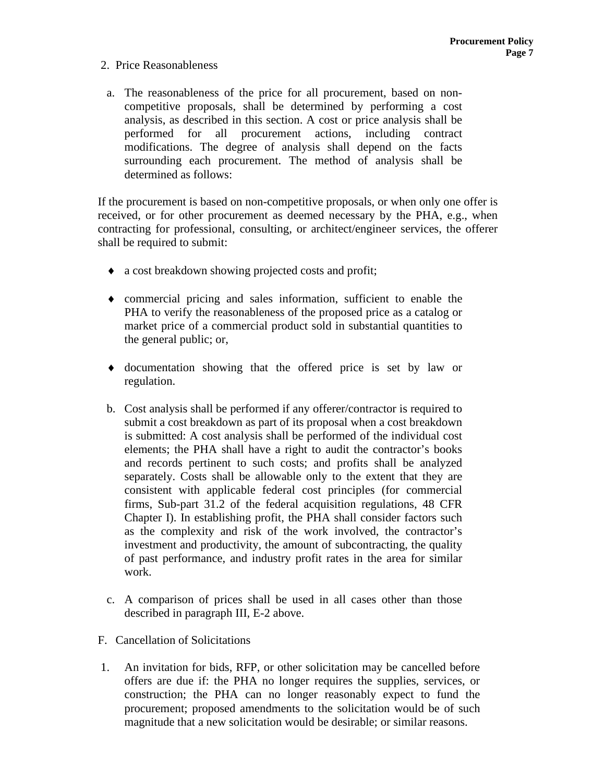# 2. Price Reasonableness

a. The reasonableness of the price for all procurement, based on noncompetitive proposals, shall be determined by performing a cost analysis, as described in this section. A cost or price analysis shall be performed for all procurement actions, including contract modifications. The degree of analysis shall depend on the facts surrounding each procurement. The method of analysis shall be determined as follows:

If the procurement is based on non-competitive proposals, or when only one offer is received, or for other procurement as deemed necessary by the PHA, e.g., when contracting for professional, consulting, or architect/engineer services, the offerer shall be required to submit:

- ♦ a cost breakdown showing projected costs and profit;
- ♦ commercial pricing and sales information, sufficient to enable the PHA to verify the reasonableness of the proposed price as a catalog or market price of a commercial product sold in substantial quantities to the general public; or,
- ♦ documentation showing that the offered price is set by law or regulation.
- b. Cost analysis shall be performed if any offerer/contractor is required to submit a cost breakdown as part of its proposal when a cost breakdown is submitted: A cost analysis shall be performed of the individual cost elements; the PHA shall have a right to audit the contractor's books and records pertinent to such costs; and profits shall be analyzed separately. Costs shall be allowable only to the extent that they are consistent with applicable federal cost principles (for commercial firms, Sub-part 31.2 of the federal acquisition regulations, 48 CFR Chapter I). In establishing profit, the PHA shall consider factors such as the complexity and risk of the work involved, the contractor's investment and productivity, the amount of subcontracting, the quality of past performance, and industry profit rates in the area for similar work.
- c. A comparison of prices shall be used in all cases other than those described in paragraph III, E-2 above.
- F. Cancellation of Solicitations
- 1. An invitation for bids, RFP, or other solicitation may be cancelled before offers are due if: the PHA no longer requires the supplies, services, or construction; the PHA can no longer reasonably expect to fund the procurement; proposed amendments to the solicitation would be of such magnitude that a new solicitation would be desirable; or similar reasons.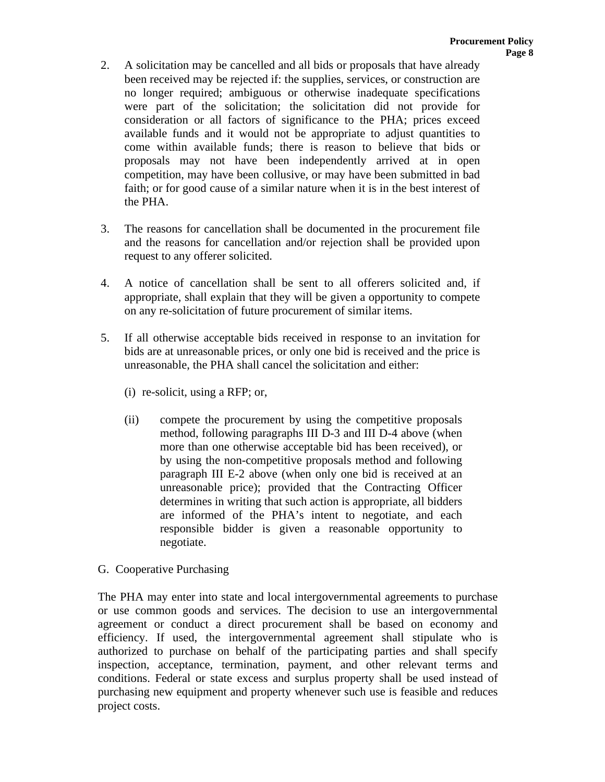- 2. A solicitation may be cancelled and all bids or proposals that have already been received may be rejected if: the supplies, services, or construction are no longer required; ambiguous or otherwise inadequate specifications were part of the solicitation; the solicitation did not provide for consideration or all factors of significance to the PHA; prices exceed available funds and it would not be appropriate to adjust quantities to come within available funds; there is reason to believe that bids or proposals may not have been independently arrived at in open competition, may have been collusive, or may have been submitted in bad faith; or for good cause of a similar nature when it is in the best interest of the PHA.
- 3. The reasons for cancellation shall be documented in the procurement file and the reasons for cancellation and/or rejection shall be provided upon request to any offerer solicited.
- 4. A notice of cancellation shall be sent to all offerers solicited and, if appropriate, shall explain that they will be given a opportunity to compete on any re-solicitation of future procurement of similar items.
- 5. If all otherwise acceptable bids received in response to an invitation for bids are at unreasonable prices, or only one bid is received and the price is unreasonable, the PHA shall cancel the solicitation and either:
	- (i) re-solicit, using a RFP; or,
	- (ii) compete the procurement by using the competitive proposals method, following paragraphs III D-3 and III D-4 above (when more than one otherwise acceptable bid has been received), or by using the non-competitive proposals method and following paragraph III E-2 above (when only one bid is received at an unreasonable price); provided that the Contracting Officer determines in writing that such action is appropriate, all bidders are informed of the PHA's intent to negotiate, and each responsible bidder is given a reasonable opportunity to negotiate.
- G. Cooperative Purchasing

The PHA may enter into state and local intergovernmental agreements to purchase or use common goods and services. The decision to use an intergovernmental agreement or conduct a direct procurement shall be based on economy and efficiency. If used, the intergovernmental agreement shall stipulate who is authorized to purchase on behalf of the participating parties and shall specify inspection, acceptance, termination, payment, and other relevant terms and conditions. Federal or state excess and surplus property shall be used instead of purchasing new equipment and property whenever such use is feasible and reduces project costs.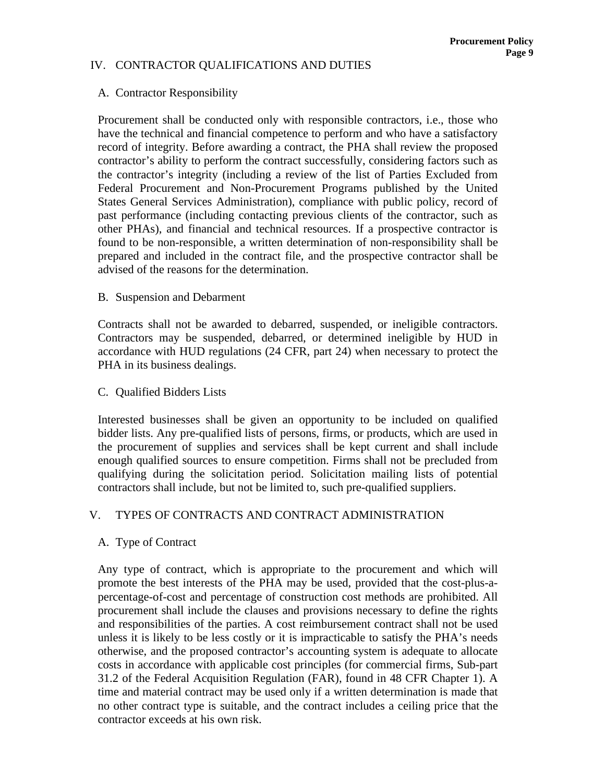# IV. CONTRACTOR QUALIFICATIONS AND DUTIES

### A. Contractor Responsibility

Procurement shall be conducted only with responsible contractors, i.e., those who have the technical and financial competence to perform and who have a satisfactory record of integrity. Before awarding a contract, the PHA shall review the proposed contractor's ability to perform the contract successfully, considering factors such as the contractor's integrity (including a review of the list of Parties Excluded from Federal Procurement and Non-Procurement Programs published by the United States General Services Administration), compliance with public policy, record of past performance (including contacting previous clients of the contractor, such as other PHAs), and financial and technical resources. If a prospective contractor is found to be non-responsible, a written determination of non-responsibility shall be prepared and included in the contract file, and the prospective contractor shall be advised of the reasons for the determination.

#### B. Suspension and Debarment

Contracts shall not be awarded to debarred, suspended, or ineligible contractors. Contractors may be suspended, debarred, or determined ineligible by HUD in accordance with HUD regulations (24 CFR, part 24) when necessary to protect the PHA in its business dealings.

#### C. Qualified Bidders Lists

Interested businesses shall be given an opportunity to be included on qualified bidder lists. Any pre-qualified lists of persons, firms, or products, which are used in the procurement of supplies and services shall be kept current and shall include enough qualified sources to ensure competition. Firms shall not be precluded from qualifying during the solicitation period. Solicitation mailing lists of potential contractors shall include, but not be limited to, such pre-qualified suppliers.

# V. TYPES OF CONTRACTS AND CONTRACT ADMINISTRATION

#### A. Type of Contract

Any type of contract, which is appropriate to the procurement and which will promote the best interests of the PHA may be used, provided that the cost-plus-apercentage-of-cost and percentage of construction cost methods are prohibited. All procurement shall include the clauses and provisions necessary to define the rights and responsibilities of the parties. A cost reimbursement contract shall not be used unless it is likely to be less costly or it is impracticable to satisfy the PHA's needs otherwise, and the proposed contractor's accounting system is adequate to allocate costs in accordance with applicable cost principles (for commercial firms, Sub-part 31.2 of the Federal Acquisition Regulation (FAR), found in 48 CFR Chapter 1). A time and material contract may be used only if a written determination is made that no other contract type is suitable, and the contract includes a ceiling price that the contractor exceeds at his own risk.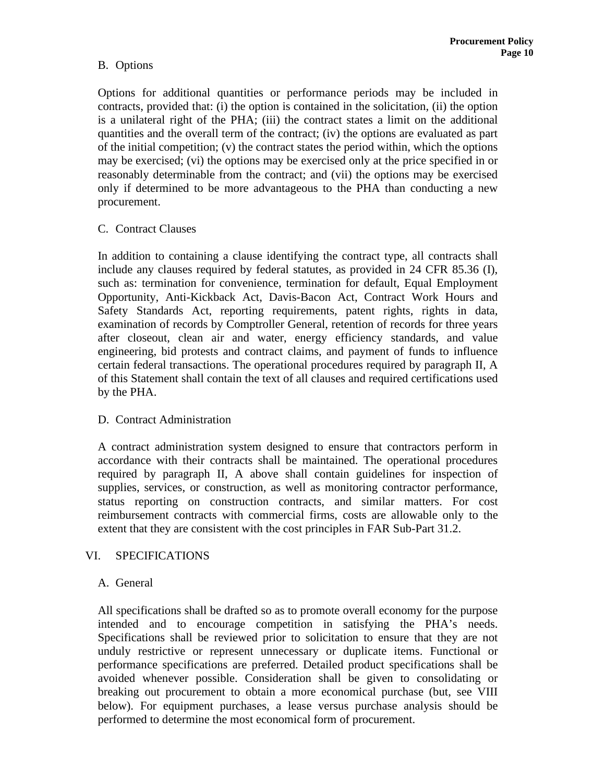# B. Options

Options for additional quantities or performance periods may be included in contracts, provided that: (i) the option is contained in the solicitation, (ii) the option is a unilateral right of the PHA; (iii) the contract states a limit on the additional quantities and the overall term of the contract; (iv) the options are evaluated as part of the initial competition; (v) the contract states the period within, which the options may be exercised; (vi) the options may be exercised only at the price specified in or reasonably determinable from the contract; and (vii) the options may be exercised only if determined to be more advantageous to the PHA than conducting a new procurement.

# C. Contract Clauses

In addition to containing a clause identifying the contract type, all contracts shall include any clauses required by federal statutes, as provided in 24 CFR 85.36 (I), such as: termination for convenience, termination for default, Equal Employment Opportunity, Anti-Kickback Act, Davis-Bacon Act, Contract Work Hours and Safety Standards Act, reporting requirements, patent rights, rights in data, examination of records by Comptroller General, retention of records for three years after closeout, clean air and water, energy efficiency standards, and value engineering, bid protests and contract claims, and payment of funds to influence certain federal transactions. The operational procedures required by paragraph II, A of this Statement shall contain the text of all clauses and required certifications used by the PHA.

# D. Contract Administration

A contract administration system designed to ensure that contractors perform in accordance with their contracts shall be maintained. The operational procedures required by paragraph II, A above shall contain guidelines for inspection of supplies, services, or construction, as well as monitoring contractor performance, status reporting on construction contracts, and similar matters. For cost reimbursement contracts with commercial firms, costs are allowable only to the extent that they are consistent with the cost principles in FAR Sub-Part 31.2.

# VI. SPECIFICATIONS

# A. General

All specifications shall be drafted so as to promote overall economy for the purpose intended and to encourage competition in satisfying the PHA's needs. Specifications shall be reviewed prior to solicitation to ensure that they are not unduly restrictive or represent unnecessary or duplicate items. Functional or performance specifications are preferred. Detailed product specifications shall be avoided whenever possible. Consideration shall be given to consolidating or breaking out procurement to obtain a more economical purchase (but, see VIII below). For equipment purchases, a lease versus purchase analysis should be performed to determine the most economical form of procurement.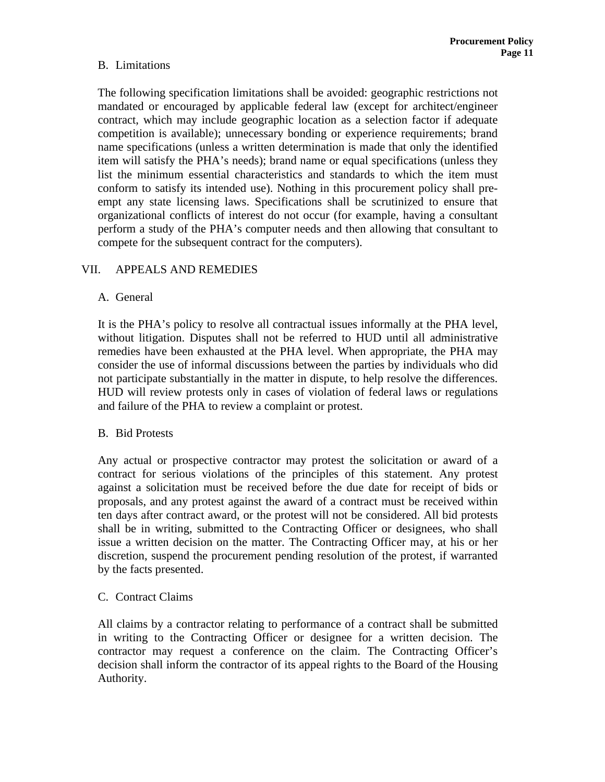# B. Limitations

The following specification limitations shall be avoided: geographic restrictions not mandated or encouraged by applicable federal law (except for architect/engineer contract, which may include geographic location as a selection factor if adequate competition is available); unnecessary bonding or experience requirements; brand name specifications (unless a written determination is made that only the identified item will satisfy the PHA's needs); brand name or equal specifications (unless they list the minimum essential characteristics and standards to which the item must conform to satisfy its intended use). Nothing in this procurement policy shall preempt any state licensing laws. Specifications shall be scrutinized to ensure that organizational conflicts of interest do not occur (for example, having a consultant perform a study of the PHA's computer needs and then allowing that consultant to compete for the subsequent contract for the computers).

# VII. APPEALS AND REMEDIES

# A. General

It is the PHA's policy to resolve all contractual issues informally at the PHA level, without litigation. Disputes shall not be referred to HUD until all administrative remedies have been exhausted at the PHA level. When appropriate, the PHA may consider the use of informal discussions between the parties by individuals who did not participate substantially in the matter in dispute, to help resolve the differences. HUD will review protests only in cases of violation of federal laws or regulations and failure of the PHA to review a complaint or protest.

# B. Bid Protests

Any actual or prospective contractor may protest the solicitation or award of a contract for serious violations of the principles of this statement. Any protest against a solicitation must be received before the due date for receipt of bids or proposals, and any protest against the award of a contract must be received within ten days after contract award, or the protest will not be considered. All bid protests shall be in writing, submitted to the Contracting Officer or designees, who shall issue a written decision on the matter. The Contracting Officer may, at his or her discretion, suspend the procurement pending resolution of the protest, if warranted by the facts presented.

# C. Contract Claims

All claims by a contractor relating to performance of a contract shall be submitted in writing to the Contracting Officer or designee for a written decision. The contractor may request a conference on the claim. The Contracting Officer's decision shall inform the contractor of its appeal rights to the Board of the Housing Authority.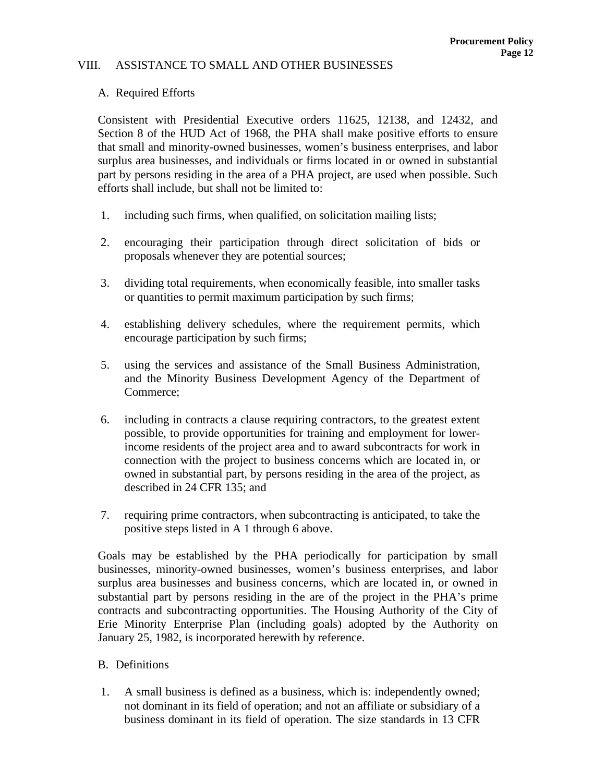#### VIII. ASSISTANCE TO SMALL AND OTHER BUSINESSES

### A. Required Efforts

Consistent with Presidential Executive orders 11625, 12138, and 12432, and Section 8 of the HUD Act of 1968, the PHA shall make positive efforts to ensure that small and minority-owned businesses, women's business enterprises, and labor surplus area businesses, and individuals or firms located in or owned in substantial part by persons residing in the area of a PHA project, are used when possible. Such efforts shall include, but shall not be limited to:

- 1. including such firms, when qualified, on solicitation mailing lists;
- 2. encouraging their participation through direct solicitation of bids or proposals whenever they are potential sources;
- 3. dividing total requirements, when economically feasible, into smaller tasks or quantities to permit maximum participation by such firms;
- 4. establishing delivery schedules, where the requirement permits, which encourage participation by such firms;
- 5. using the services and assistance of the Small Business Administration, and the Minority Business Development Agency of the Department of Commerce;
- 6. including in contracts a clause requiring contractors, to the greatest extent possible, to provide opportunities for training and employment for lowerincome residents of the project area and to award subcontracts for work in connection with the project to business concerns which are located in, or owned in substantial part, by persons residing in the area of the project, as described in 24 CFR 135; and
- 7. requiring prime contractors, when subcontracting is anticipated, to take the positive steps listed in A 1 through 6 above.

Goals may be established by the PHA periodically for participation by small businesses, minority-owned businesses, women's business enterprises, and labor surplus area businesses and business concerns, which are located in, or owned in substantial part by persons residing in the are of the project in the PHA's prime contracts and subcontracting opportunities. The Housing Authority of the City of Erie Minority Enterprise Plan (including goals) adopted by the Authority on January 25, 1982, is incorporated herewith by reference.

- B. Definitions
- 1. A small business is defined as a business, which is: independently owned; not dominant in its field of operation; and not an affiliate or subsidiary of a business dominant in its field of operation. The size standards in 13 CFR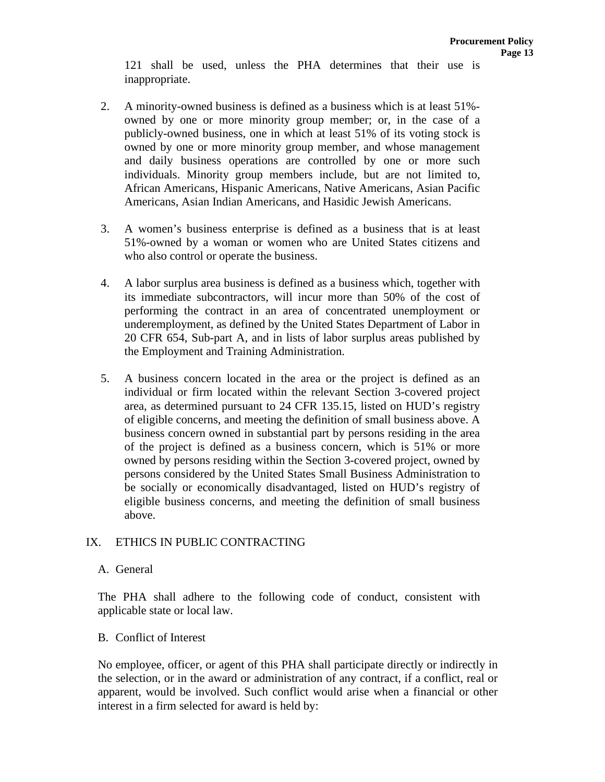121 shall be used, unless the PHA determines that their use is inappropriate.

- 2. A minority-owned business is defined as a business which is at least 51% owned by one or more minority group member; or, in the case of a publicly-owned business, one in which at least 51% of its voting stock is owned by one or more minority group member, and whose management and daily business operations are controlled by one or more such individuals. Minority group members include, but are not limited to, African Americans, Hispanic Americans, Native Americans, Asian Pacific Americans, Asian Indian Americans, and Hasidic Jewish Americans.
- 3. A women's business enterprise is defined as a business that is at least 51%-owned by a woman or women who are United States citizens and who also control or operate the business.
- 4. A labor surplus area business is defined as a business which, together with its immediate subcontractors, will incur more than 50% of the cost of performing the contract in an area of concentrated unemployment or underemployment, as defined by the United States Department of Labor in 20 CFR 654, Sub-part A, and in lists of labor surplus areas published by the Employment and Training Administration.
- 5. A business concern located in the area or the project is defined as an individual or firm located within the relevant Section 3-covered project area, as determined pursuant to 24 CFR 135.15, listed on HUD's registry of eligible concerns, and meeting the definition of small business above. A business concern owned in substantial part by persons residing in the area of the project is defined as a business concern, which is 51% or more owned by persons residing within the Section 3-covered project, owned by persons considered by the United States Small Business Administration to be socially or economically disadvantaged, listed on HUD's registry of eligible business concerns, and meeting the definition of small business above.

# IX. ETHICS IN PUBLIC CONTRACTING

#### A. General

The PHA shall adhere to the following code of conduct, consistent with applicable state or local law.

#### B. Conflict of Interest

No employee, officer, or agent of this PHA shall participate directly or indirectly in the selection, or in the award or administration of any contract, if a conflict, real or apparent, would be involved. Such conflict would arise when a financial or other interest in a firm selected for award is held by: